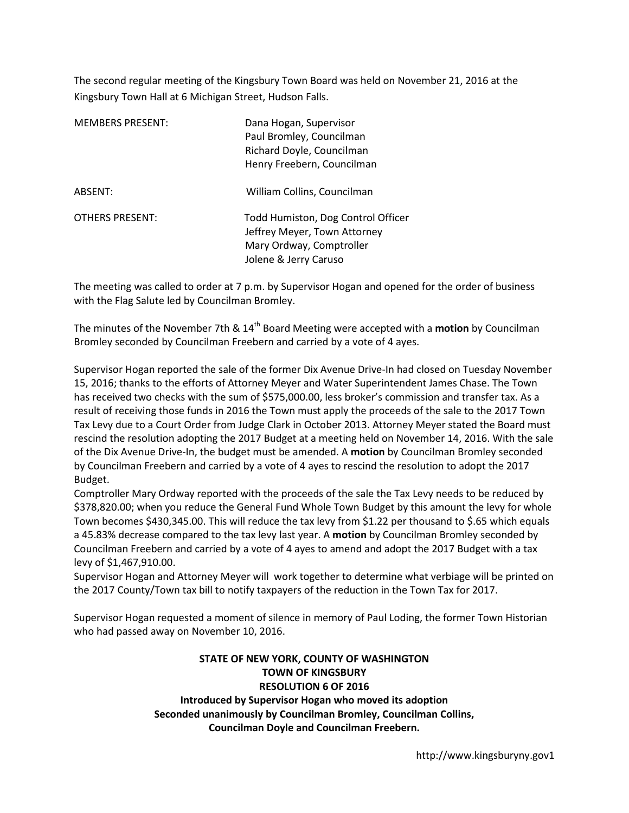The second regular meeting of the Kingsbury Town Board was held on November 21, 2016 at the Kingsbury Town Hall at 6 Michigan Street, Hudson Falls.

| <b>MEMBERS PRESENT:</b> | Dana Hogan, Supervisor<br>Paul Bromley, Councilman<br>Richard Doyle, Councilman<br>Henry Freebern, Councilman           |
|-------------------------|-------------------------------------------------------------------------------------------------------------------------|
| ABSENT:                 | William Collins, Councilman                                                                                             |
| <b>OTHERS PRESENT:</b>  | Todd Humiston, Dog Control Officer<br>Jeffrey Meyer, Town Attorney<br>Mary Ordway, Comptroller<br>Jolene & Jerry Caruso |

The meeting was called to order at 7 p.m. by Supervisor Hogan and opened for the order of business with the Flag Salute led by Councilman Bromley.

The minutes of the November 7th & 14<sup>th</sup> Board Meeting were accepted with a **motion** by Councilman Bromley seconded by Councilman Freebern and carried by a vote of 4 ayes.

Supervisor Hogan reported the sale of the former Dix Avenue Drive-In had closed on Tuesday November 15, 2016; thanks to the efforts of Attorney Meyer and Water Superintendent James Chase. The Town has received two checks with the sum of \$575,000.00, less broker's commission and transfer tax. As a result of receiving those funds in 2016 the Town must apply the proceeds of the sale to the 2017 Town Tax Levy due to a Court Order from Judge Clark in October 2013. Attorney Meyer stated the Board must rescind the resolution adopting the 2017 Budget at a meeting held on November 14, 2016. With the sale of the Dix Avenue Drive-In, the budget must be amended. A **motion** by Councilman Bromley seconded by Councilman Freebern and carried by a vote of 4 ayes to rescind the resolution to adopt the 2017 Budget.

Comptroller Mary Ordway reported with the proceeds of the sale the Tax Levy needs to be reduced by \$378,820.00; when you reduce the General Fund Whole Town Budget by this amount the levy for whole Town becomes \$430,345.00. This will reduce the tax levy from \$1.22 per thousand to \$.65 which equals a 45.83% decrease compared to the tax levy last year. A **motion** by Councilman Bromley seconded by Councilman Freebern and carried by a vote of 4 ayes to amend and adopt the 2017 Budget with a tax levy of \$1,467,910.00.

Supervisor Hogan and Attorney Meyer will work together to determine what verbiage will be printed on the 2017 County/Town tax bill to notify taxpayers of the reduction in the Town Tax for 2017.

Supervisor Hogan requested a moment of silence in memory of Paul Loding, the former Town Historian who had passed away on November 10, 2016.

# **STATE OF NEW YORK, COUNTY OF WASHINGTON TOWN OF KINGSBURY RESOLUTION 6 OF 2016 Introduced by Supervisor Hogan who moved its adoption**

**Seconded unanimously by Councilman Bromley, Councilman Collins, Councilman Doyle and Councilman Freebern.**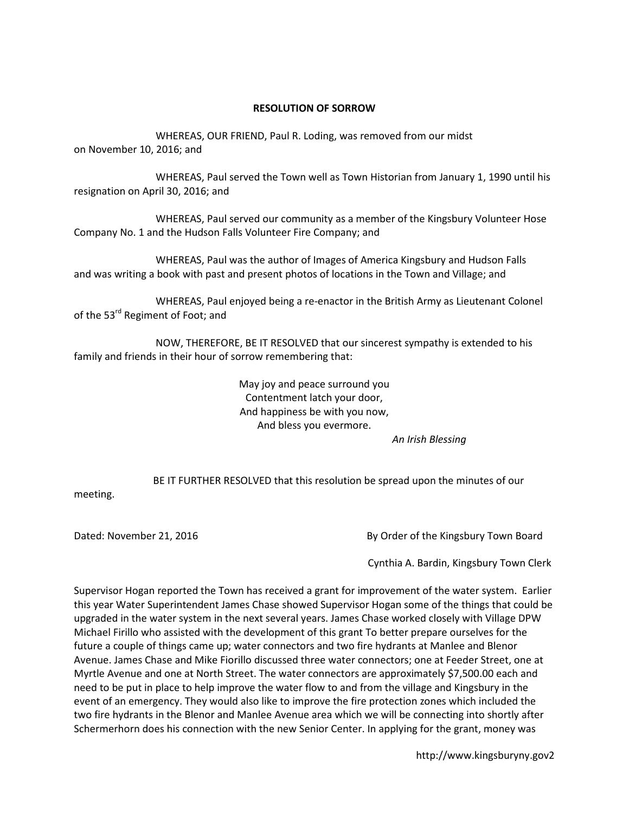#### **RESOLUTION OF SORROW**

WHEREAS, OUR FRIEND, Paul R. Loding, was removed from our midst on November 10, 2016; and

 WHEREAS, Paul served the Town well as Town Historian from January 1, 1990 until his resignation on April 30, 2016; and

 WHEREAS, Paul served our community as a member of the Kingsbury Volunteer Hose Company No. 1 and the Hudson Falls Volunteer Fire Company; and

 WHEREAS, Paul was the author of Images of America Kingsbury and Hudson Falls and was writing a book with past and present photos of locations in the Town and Village; and

 WHEREAS, Paul enjoyed being a re-enactor in the British Army as Lieutenant Colonel of the 53<sup>rd</sup> Regiment of Foot; and

 NOW, THEREFORE, BE IT RESOLVED that our sincerest sympathy is extended to his family and friends in their hour of sorrow remembering that:

> May joy and peace surround you Contentment latch your door, And happiness be with you now, And bless you evermore.

*An Irish Blessing* 

BE IT FURTHER RESOLVED that this resolution be spread upon the minutes of our

meeting.

Dated: November 21, 2016 **By Order of the Kingsbury Town Board** 

Cynthia A. Bardin, Kingsbury Town Clerk

Supervisor Hogan reported the Town has received a grant for improvement of the water system. Earlier this year Water Superintendent James Chase showed Supervisor Hogan some of the things that could be upgraded in the water system in the next several years. James Chase worked closely with Village DPW Michael Firillo who assisted with the development of this grant To better prepare ourselves for the future a couple of things came up; water connectors and two fire hydrants at Manlee and Blenor Avenue. James Chase and Mike Fiorillo discussed three water connectors; one at Feeder Street, one at Myrtle Avenue and one at North Street. The water connectors are approximately \$7,500.00 each and need to be put in place to help improve the water flow to and from the village and Kingsbury in the event of an emergency. They would also like to improve the fire protection zones which included the two fire hydrants in the Blenor and Manlee Avenue area which we will be connecting into shortly after Schermerhorn does his connection with the new Senior Center. In applying for the grant, money was

http://www.kingsburyny.gov2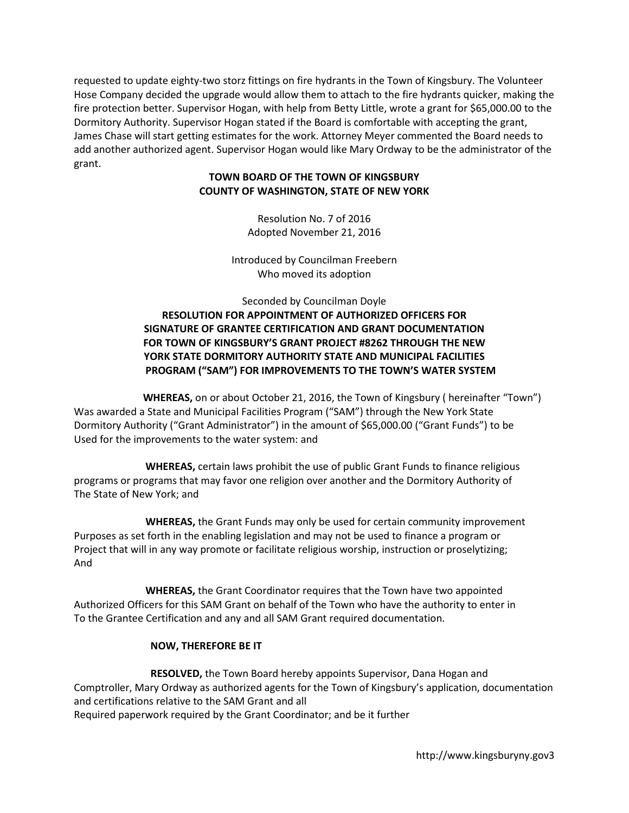requested to update eighty-two storz fittings on fire hydrants in the Town of Kingsbury. The Volunteer Hose Company decided the upgrade would allow them to attach to the fire hydrants quicker, making the fire protection better. Supervisor Hogan, with help from Betty Little, wrote a grant for \$65,000.00 to the Dormitory Authority. Supervisor Hogan stated if the Board is comfortable with accepting the grant, James Chase will start getting estimates for the work. Attorney Meyer commented the Board needs to add another authorized agent. Supervisor Hogan would like Mary Ordway to be the administrator of the grant.

#### **TOWN BOARD OF THE TOWN OF KINGSBURY COUNTY OF WASHINGTON, STATE OF NEW YORK**

Resolution No. 7 of 2016 Adopted November 21, 2016

Introduced by Councilman Freebern Who moved its adoption

## Seconded by Councilman Doyle **RESOLUTION FOR APPOINTMENT OF AUTHORIZED OFFICERS FOR SIGNATURE OF GRANTEE CERTIFICATION AND GRANT DOCUMENTATION FOR TOWN OF KINGSBURY'S GRANT PROJECT #8262 THROUGH THE NEW YORK STATE DORMITORY AUTHORITY STATE AND MUNICIPAL FACILITIES PROGRAM ("SAM") FOR IMPROVEMENTS TO THE TOWN'S WATER SYSTEM**

 **WHEREAS,** on or about October 21, 2016, the Town of Kingsbury ( hereinafter "Town") Was awarded a State and Municipal Facilities Program ("SAM") through the New York State Dormitory Authority ("Grant Administrator") in the amount of \$65,000.00 ("Grant Funds") to be Used for the improvements to the water system: and

 **WHEREAS,** certain laws prohibit the use of public Grant Funds to finance religious programs or programs that may favor one religion over another and the Dormitory Authority of The State of New York; and

 **WHEREAS,** the Grant Funds may only be used for certain community improvement Purposes as set forth in the enabling legislation and may not be used to finance a program or Project that will in any way promote or facilitate religious worship, instruction or proselytizing; And

 **WHEREAS,** the Grant Coordinator requires that the Town have two appointed Authorized Officers for this SAM Grant on behalf of the Town who have the authority to enter in To the Grantee Certification and any and all SAM Grant required documentation.

### **NOW, THEREFORE BE IT**

 **RESOLVED,** the Town Board hereby appoints Supervisor, Dana Hogan and Comptroller, Mary Ordway as authorized agents for the Town of Kingsbury's application, documentation and certifications relative to the SAM Grant and all Required paperwork required by the Grant Coordinator; and be it further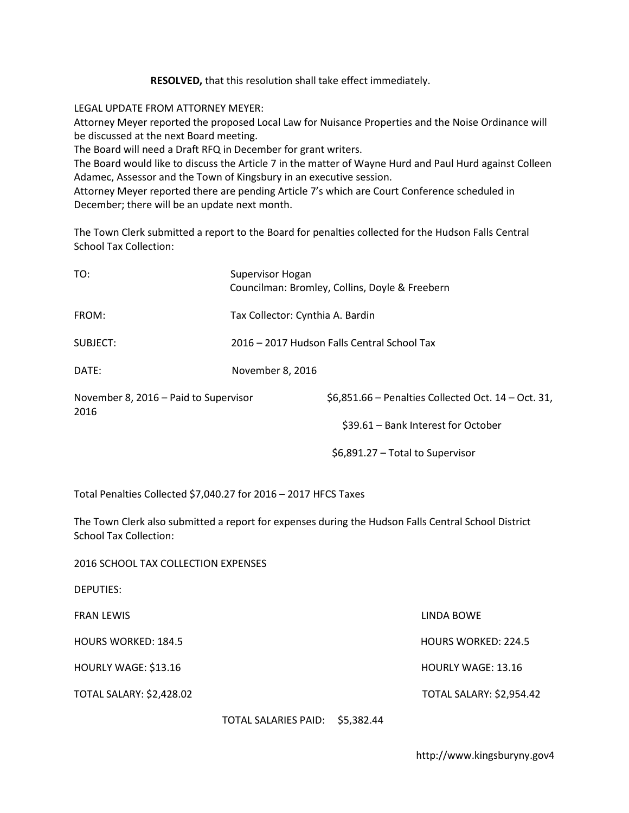**RESOLVED,** that this resolution shall take effect immediately.

LEGAL UPDATE FROM ATTORNEY MEYER:

Attorney Meyer reported the proposed Local Law for Nuisance Properties and the Noise Ordinance will be discussed at the next Board meeting.

The Board will need a Draft RFQ in December for grant writers.

The Board would like to discuss the Article 7 in the matter of Wayne Hurd and Paul Hurd against Colleen Adamec, Assessor and the Town of Kingsbury in an executive session.

Attorney Meyer reported there are pending Article 7's which are Court Conference scheduled in December; there will be an update next month.

The Town Clerk submitted a report to the Board for penalties collected for the Hudson Falls Central School Tax Collection:

| TO:                                           | Supervisor Hogan<br>Councilman: Bromley, Collins, Doyle & Freebern |  |  |
|-----------------------------------------------|--------------------------------------------------------------------|--|--|
| FROM:                                         | Tax Collector: Cynthia A. Bardin                                   |  |  |
| SUBJECT:                                      | 2016 - 2017 Hudson Falls Central School Tax                        |  |  |
| DATF:                                         | November 8, 2016                                                   |  |  |
| November 8, 2016 – Paid to Supervisor<br>2016 | $$6,851.66$ – Penalties Collected Oct. 14 – Oct. 31,               |  |  |
|                                               | \$39.61 - Bank Interest for October                                |  |  |
|                                               |                                                                    |  |  |

\$6,891.27 – Total to Supervisor

Total Penalties Collected \$7,040.27 for 2016 – 2017 HFCS Taxes

2016 SCHOOL TAX COLLECTION EXPENSES

The Town Clerk also submitted a report for expenses during the Hudson Falls Central School District School Tax Collection:

| <b>DEPUTIES:</b>                |                                 |                                 |
|---------------------------------|---------------------------------|---------------------------------|
| <b>FRAN LEWIS</b>               |                                 | LINDA BOWE                      |
| <b>HOURS WORKED: 184.5</b>      |                                 | <b>HOURS WORKED: 224.5</b>      |
| HOURLY WAGE: \$13.16            |                                 | <b>HOURLY WAGE: 13.16</b>       |
| <b>TOTAL SALARY: \$2,428.02</b> |                                 | <b>TOTAL SALARY: \$2,954.42</b> |
|                                 | TOTAL SALARIES PAID: \$5,382.44 |                                 |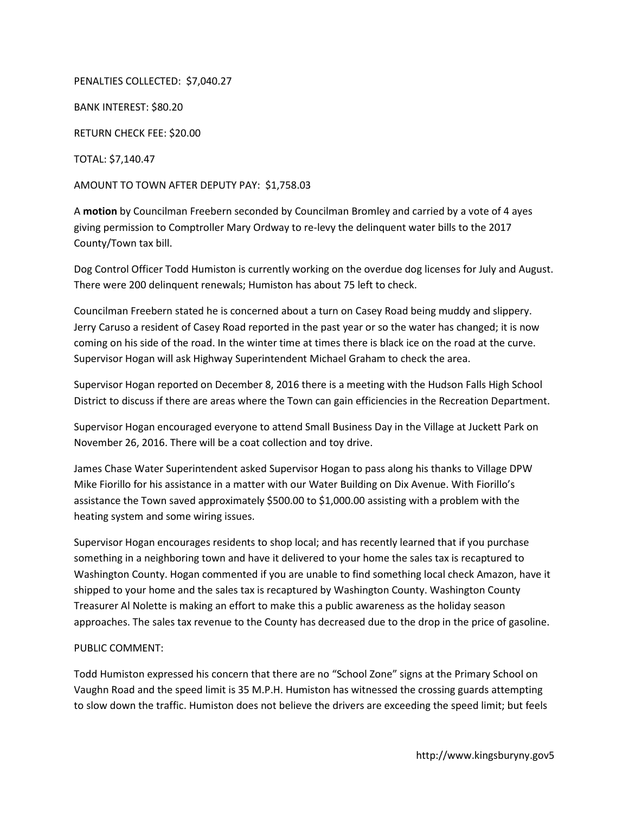PENALTIES COLLECTED: \$7,040.27

BANK INTEREST: \$80.20

RETURN CHECK FEE: \$20.00

TOTAL: \$7,140.47

AMOUNT TO TOWN AFTER DEPUTY PAY: \$1,758.03

A **motion** by Councilman Freebern seconded by Councilman Bromley and carried by a vote of 4 ayes giving permission to Comptroller Mary Ordway to re-levy the delinquent water bills to the 2017 County/Town tax bill.

Dog Control Officer Todd Humiston is currently working on the overdue dog licenses for July and August. There were 200 delinquent renewals; Humiston has about 75 left to check.

Councilman Freebern stated he is concerned about a turn on Casey Road being muddy and slippery. Jerry Caruso a resident of Casey Road reported in the past year or so the water has changed; it is now coming on his side of the road. In the winter time at times there is black ice on the road at the curve. Supervisor Hogan will ask Highway Superintendent Michael Graham to check the area.

Supervisor Hogan reported on December 8, 2016 there is a meeting with the Hudson Falls High School District to discuss if there are areas where the Town can gain efficiencies in the Recreation Department.

Supervisor Hogan encouraged everyone to attend Small Business Day in the Village at Juckett Park on November 26, 2016. There will be a coat collection and toy drive.

James Chase Water Superintendent asked Supervisor Hogan to pass along his thanks to Village DPW Mike Fiorillo for his assistance in a matter with our Water Building on Dix Avenue. With Fiorillo's assistance the Town saved approximately \$500.00 to \$1,000.00 assisting with a problem with the heating system and some wiring issues.

Supervisor Hogan encourages residents to shop local; and has recently learned that if you purchase something in a neighboring town and have it delivered to your home the sales tax is recaptured to Washington County. Hogan commented if you are unable to find something local check Amazon, have it shipped to your home and the sales tax is recaptured by Washington County. Washington County Treasurer Al Nolette is making an effort to make this a public awareness as the holiday season approaches. The sales tax revenue to the County has decreased due to the drop in the price of gasoline.

#### PUBLIC COMMENT:

Todd Humiston expressed his concern that there are no "School Zone" signs at the Primary School on Vaughn Road and the speed limit is 35 M.P.H. Humiston has witnessed the crossing guards attempting to slow down the traffic. Humiston does not believe the drivers are exceeding the speed limit; but feels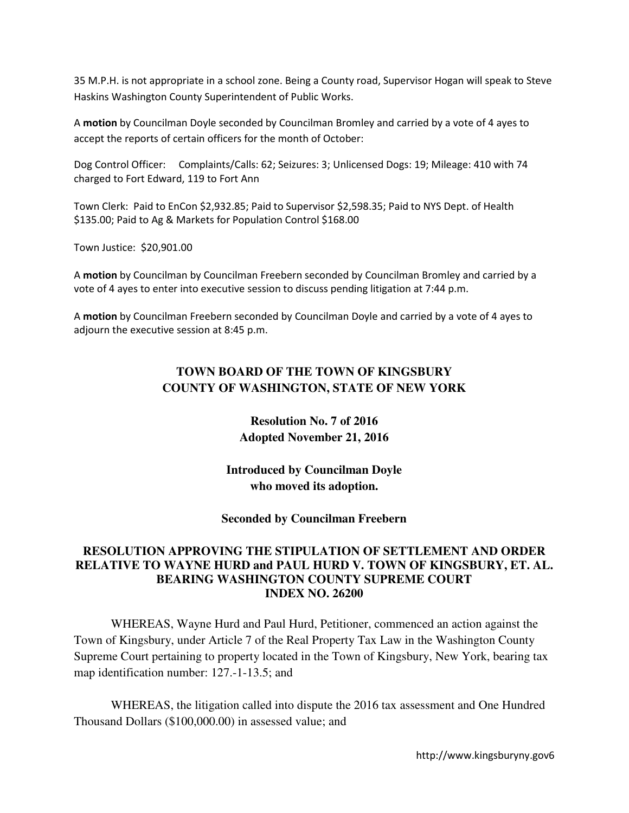35 M.P.H. is not appropriate in a school zone. Being a County road, Supervisor Hogan will speak to Steve Haskins Washington County Superintendent of Public Works.

A **motion** by Councilman Doyle seconded by Councilman Bromley and carried by a vote of 4 ayes to accept the reports of certain officers for the month of October:

Dog Control Officer: Complaints/Calls: 62; Seizures: 3; Unlicensed Dogs: 19; Mileage: 410 with 74 charged to Fort Edward, 119 to Fort Ann

Town Clerk: Paid to EnCon \$2,932.85; Paid to Supervisor \$2,598.35; Paid to NYS Dept. of Health \$135.00; Paid to Ag & Markets for Population Control \$168.00

Town Justice: \$20,901.00

A **motion** by Councilman by Councilman Freebern seconded by Councilman Bromley and carried by a vote of 4 ayes to enter into executive session to discuss pending litigation at 7:44 p.m.

A **motion** by Councilman Freebern seconded by Councilman Doyle and carried by a vote of 4 ayes to adjourn the executive session at 8:45 p.m.

# **TOWN BOARD OF THE TOWN OF KINGSBURY COUNTY OF WASHINGTON, STATE OF NEW YORK**

**Resolution No. 7 of 2016 Adopted November 21, 2016** 

**Introduced by Councilman Doyle who moved its adoption.** 

**Seconded by Councilman Freebern** 

# **RESOLUTION APPROVING THE STIPULATION OF SETTLEMENT AND ORDER RELATIVE TO WAYNE HURD and PAUL HURD V. TOWN OF KINGSBURY, ET. AL. BEARING WASHINGTON COUNTY SUPREME COURT INDEX NO. 26200**

WHEREAS, Wayne Hurd and Paul Hurd, Petitioner, commenced an action against the Town of Kingsbury, under Article 7 of the Real Property Tax Law in the Washington County Supreme Court pertaining to property located in the Town of Kingsbury, New York, bearing tax map identification number: 127.-1-13.5; and

WHEREAS, the litigation called into dispute the 2016 tax assessment and One Hundred Thousand Dollars (\$100,000.00) in assessed value; and